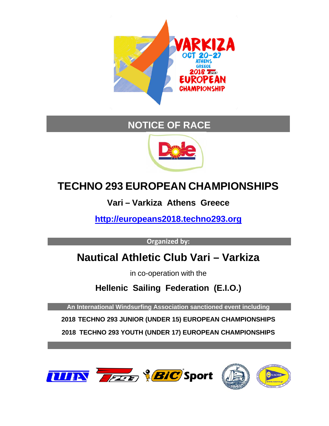

## **NOTICE OF RACE**



# **TECHNO 293 EUROPEAN CHAMPIONSHIPS**

**Vari – Varkiza Athens Greece**

**[http://europeans2018.techno293.org](http://europeans2018.techno293.org/)**

**Organized by:**

## **Nautical Athletic Club Vari – Varkiza**

in co-operation with the

**Hellenic Sailing Federation (E.I.O.)**

**An International Windsurfing Association sanctioned event including**

**2018 TECHNO 293 JUNIOR (UNDER 15) EUROPEAN CHAMPIONSHIPS**

**2018 TECHNO 293 YOUTH (UNDER 17) EUROPEAN CHAMPIONSHIPS**

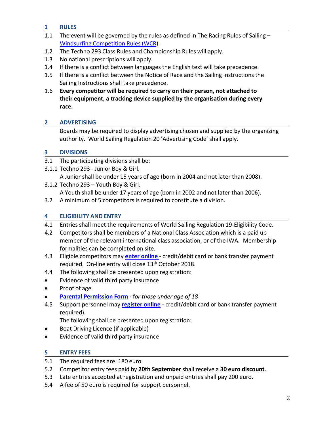## **1 RULES**

- 1.1 The event will be governed by the rules as defined in The Racing Rules of Sailing Windsurfing [Competition](http://sailing.org/tools/documents/RacingRulesofSailingWindsurfingEditionfor20172020-%5B24077%5D.pdf) Rules (WCR).
- 1.2 The Techno 293 Class Rules and Championship Rules will apply.
- 1.3 No national prescriptions will apply.
- 1.4 If there is a conflict between languages the English text will take precedence.
- 1.5 If there is a conflict between the Notice of Race and the Sailing Instructions the Sailing Instructions shall take precedence.
- 1.6 **Every competitor will be required to carry on their person, not attached to their equipment, a tracking device supplied by the organisation during every race.**

## **2 ADVERTISING**

Boards may be required to display advertising chosen and supplied by the organizing authority. World Sailing Regulation 20 'Advertising Code' shall apply.

## **3 DIVISIONS**

- 3.1 The participating divisions shall be:
- 3.1.1 Techno 293 Junior Boy & Girl.
	- A Junior shall be under 15 years of age (born in 2004 and not later than 2008).
- 3.1.2 Techno 293 Youth Boy & Girl. A Youth shall be under 17 years of age (born in 2002 and not later than 2006).
- 3.2 A minimum of 5 competitors is required to constitute a division.

## **4 ELIGIBILITY AND ENTRY**

- 4.1 Entries shall meet the requirements of World Sailing Regulation 19-Eligibility Code.
- 4.2 Competitors shall be members of a National Class Association which is a paid up member of the relevant international class association, or of the IWA. Membership formalities can be completed on site.
- 4.3 Eligible competitors may **[enter online](https://registration.internationalwindsurfing.com/en/events/register/id/210)** credit/debit card or bank transfer payment required. On-line entry will close 13<sup>th</sup> October 2018.
- 4.4 The following shall be presented upon registration:
- Evidence of valid third party insurance
- Proof of age
- **[Parental Permission Form](http://internationalwindsurfing.com/userfiles/documents/Parental_Permission_Form_T293_Europeans_2018.pdf)** f*or those under age of 18*
- 4.5 Support personnel may **[register online](https://registration.internationalwindsurfing.com/en/events/register/id/211)** credit/debit card or bank transfer payment required).

The following shall be presented upon registration:

- Boat Driving Licence (if applicable)
- Evidence of valid third party insurance

## **5 ENTRY FEES**

- 5.1 The required fees are: 180 euro.
- 5.2 Competitor entry fees paid by **20th September** shall receive a **30 euro discount**.
- 5.3 Late entries accepted at registration and unpaid entries shall pay 200 euro.
- 5.4 A fee of 50 euro is required for support personnel.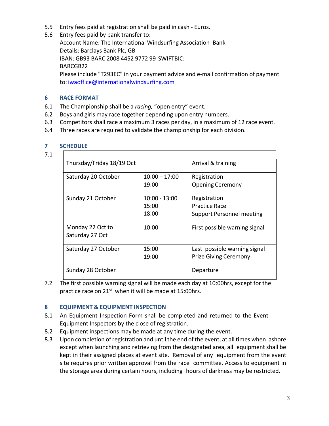- 5.5 Entry fees paid at registration shall be paid in cash Euros.
- 5.6 Entry fees paid by bank transfer to:

Account Name: The International Windsurfing Association Bank Details: Barclays Bank Plc, GB IBAN: GB93 BARC 2008 4452 9772 99 SWIFTBIC: BARCGB22 Please include "T293EC" in your payment advice and e-mail confirmation of payment

to: [iwaoffice@internationalwindsurfing.com](mailto:iwaoffice@internationalwindsurfing.com)

## **6 RACE FORMAT**

- 6.1 The Championship shall be a *racing,* "open entry" event.
- 6.2 Boys and girls may race together depending upon entry numbers.
- 6.3 Competitors shall race a maximum 3 races per day, in a maximum of 12 race event.
- 6.4 Three races are required to validate the championship for each division.

#### 7.1

| Thursday/Friday 18/19 Oct |                          | Arrival & training                      |
|---------------------------|--------------------------|-----------------------------------------|
| Saturday 20 October       | $10:00 - 17:00$<br>19:00 | Registration<br><b>Opening Ceremony</b> |
|                           |                          |                                         |
| Sunday 21 October         | 10:00 - 13:00            | Registration                            |
|                           | 15:00                    | Practice Race                           |
|                           | 18:00                    | <b>Support Personnel meeting</b>        |
| Monday 22 Oct to          | 10:00                    | First possible warning signal           |
| Saturday 27 Oct           |                          |                                         |
| Saturday 27 October       | 15:00                    | Last possible warning signal            |
|                           | 19:00                    | <b>Prize Giving Ceremony</b>            |
| Sunday 28 October         |                          | Departure                               |

7.2 The first possible warning signal will be made each day at 10:00hrs, except for the practice race on 21<sup>st</sup> when it will be made at 15:00hrs.

#### **8 EQUIPMENT & EQUIPMENT INSPECTION**

- 8.1 An Equipment Inspection Form shall be completed and returned to the Event Equipment Inspectors by the close of registration.
- 8.2 Equipment inspections may be made at any time during the event.
- 8.3 Upon completion of registration and until the end of the event, at all times when ashore except when launching and retrieving from the designated area, all equipment shall be kept in their assigned places at event site. Removal of any equipment from the event site requires prior written approval from the race committee. Access to equipment in the storage area during certain hours, including hours of darkness may be restricted.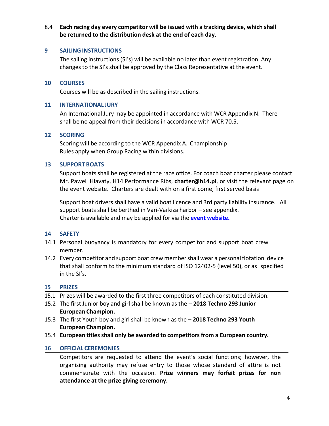## 8.4 **Each racing day every competitor will be issued with a tracking device, which shall be returned to the distribution desk at the end of each day**.

#### **9 SAILINGINSTRUCTIONS**

The sailing instructions (SI's) will be available no later than event registration. Any changes to the SI's shall be approved by the Class Representative at the event.

#### **10 COURSES**

Courses will be as described in the sailing instructions.

#### **11 INTERNATIONAL JURY**

An International Jury may be appointed in accordance with WCR Appendix N. There shall be no appeal from their decisions in accordance with WCR 70.5.

#### **12 SCORING**

Scoring will be according to the WCR Appendix A. Championship Rules apply when Group Racing within divisions.

#### **13 SUPPORT BOATS**

Support boats shall be registered at the race office. For coach boat charter please contact: Mr. Pawel Hlavaty, H14 Performance Ribs, **charter@h14.pl**, or visit the relevant page on the event website. Charters are dealt with on a first come, first served basis

Support boat drivers shall have a valid boat licence and 3rd party liability insurance. All support boats shall be berthed in Vari-Varkiza harbor – see appendix. Charter is available and may be applied for via the **event [website.](http://europeans2018.techno293.org/)**

#### **14 SAFETY**

- 14.1 Personal buoyancy is mandatory for every competitor and support boat crew member.
- 14.2 Every competitor and support boat crew membershall wear a personal flotation device that shall conform to the minimum standard of ISO 12402-5 (level 50), or as specified in the SI's.

#### **15 PRIZES**

- 15.1 Prizes will be awarded to the first three competitors of each constituted division.
- 15.2 The first Junior boy and girl shall be known as the **2018 Techno 293 Junior European Champion.**
- 15.3 The first Youth boy and girl shall be known as the **2018 Techno 293 Youth European Champion.**
- 15.4 **European titles shall only be awarded to competitors from a European country.**

#### **16 OFFICIAL CEREMONIES**

Competitors are requested to attend the event's social functions; however, the organising authority may refuse entry to those whose standard of attire is not commensurate with the occasion. **Prize winners may forfeit prizes for non attendance at the prize giving ceremony.**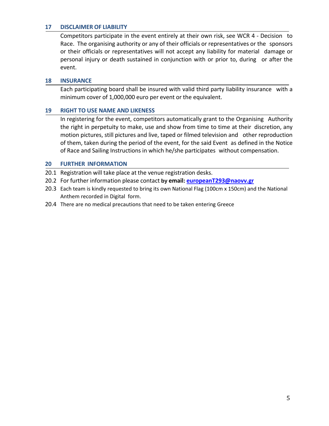#### **17 DISCLAIMER OF LIABILITY**

Competitors participate in the event entirely at their own risk, see WCR 4 - Decision to Race. The organising authority or any of their officials or representatives or the sponsors or their officials or representatives will not accept any liability for material damage or personal injury or death sustained in conjunction with or prior to, during or after the event.

#### **18 INSURANCE**

Each participating board shall be insured with valid third party liability insurance with a minimum cover of 1,000,000 euro per event or the equivalent.

#### **19 RIGHT TO USE NAME AND LIKENESS**

In registering for the event, competitors automatically grant to the Organising Authority the right in perpetuity to make, use and show from time to time at their discretion, any motion pictures, still pictures and live, taped or filmed television and other reproduction of them, taken during the period of the event, for the said Event as defined in the Notice of Race and Sailing Instructions in which he/she participates without compensation.

#### **20 FURTHER INFORMATION**

- 20.1 Registration will take place at the venue registration desks.
- 20.2 For further information please contact **by email: [europeanT293@naovv.gr](mailto:bienvenue@cnlorient.com)**
- 20.3 Each team is kindly requested to bring its own National Flag (100cm x 150cm) and the National Anthem recorded in Digital form.
- 20.4 There are no medical precautions that need to be taken entering Greece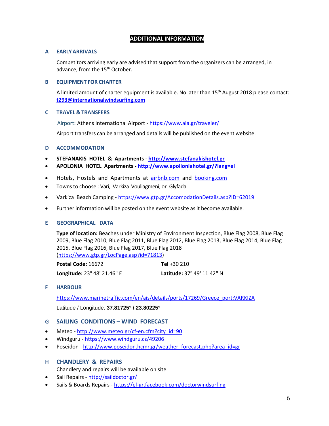### **ADDITIONAL INFORMATION**

#### **A EARLY ARRIVALS**

Competitors arriving early are advised that support from the organizers can be arranged, in advance, from the 15<sup>th</sup> October.

#### **B EQUIPMENT FOR CHARTER**

A limited amount of charter equipment is available. No later than 15th August 2018 please contact: **[t293@internationalwindsurfing.com](mailto:t293@internationalwindsurfing.com)**

#### **C TRAVEL & TRANSFERS**

Airport: Athens International Airport - <https://www.aia.gr/traveler/>

Airport transfers can be arranged and details will be published on the event website.

#### **D ACCOMMODATION**

- **STEFANAKIS HOTEL & Apartments - [http://www.stefanakishotel.gr](http://www.stefanakishotel.gr/)**
- **APOLONIA HOTEL Apartments - <http://www.apolloniahotel.gr/?lang=el>**
- Hotels, Hostels and Apartments at [airbnb.com](https://www.airbnb.gr/a/?af=43720035&c=.pi0.pk6504974464_108345336064_c_12026464216&gclid=EAIaIQobChMIka21-KnS2gIVC4uyCh0yCQ7UEAAYASAAEgL-wvD_BwE&locale=en) and [booking.com](https://www.booking.com/index.en-gb.html?aid=343336;label=operasoft-sdO15-343336;sid=0424848e66cc7a7b55962d2478c6c89b;lang=en-gb;sb_price_type=total;soz=1;lang_click=other;cdl=el)
- Towns to choose : Vari, Varkiza Vouliagmeni, or Glyfada
- Varkiza Beach Camping <https://www.gtp.gr/AccomodationDetails.asp?ID=62019>
- Further information will be posted on the event website as it become available.

#### **E GEOGRAPHICAL DATA**

**Type of location:** Beaches under Ministry of Environment Inspection, Blue Flag 2008, Blue Flag 2009, Blue Flag 2010, Blue Flag 2011, Blue Flag 2012, Blue Flag 2013, Blue Flag 2014, Blue Flag 2015, Blue Flag 2016, Blue Flag 2017, Blue Flag 2018 [\(https://www.gtp.gr/LocPage.asp?id=71813\)](https://www.gtp.gr/LocPage.asp?id=71813)

**Postal Code:** 16672 **Tel** +30 210 **Longitude:** 23o 48' 21.46" E **Latitude:** 37o 49' 11.42" N

#### **F HARBOUR**

[https://www.marinetraffic.com/en/ais/details/ports/17269/Greece\\_port:VARKIZA](https://www.marinetraffic.com/en/ais/details/ports/17269/Greece_port:VARKIZA) Latitude / Longitude: **37.81725° / 23.80225°**

#### **G SAILING CONDITIONS – WIND FORECAST**

- Meteo [http://www.meteo.gr/cf-en.cfm?city\\_id=90](http://www.meteo.gr/cf-en.cfm?city_id=90)
- Windguru <https://www.windguru.cz/49206>
- Poseidon [http://www.poseidon.hcmr.gr/weather\\_forecast.php?area\\_id=gr](http://www.poseidon.hcmr.gr/weather_forecast.php?area_id=gr)

#### **H CHANDLERY & REPAIRS**

Chandlery and repairs will be available on site.

- Sail Repairs <http://saildoctor.gr/>
- Sails & Boards Repairs <https://el-gr.facebook.com/doctorwindsurfing>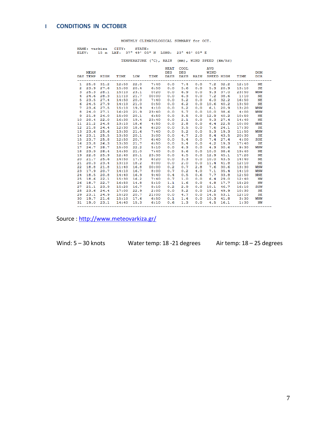#### **I CONDITIONS IN OCTOBER**

MONTHLY CLIMATOLOGICAL SUMMARY for OCT.

|  | NAME: varkiza CITY: STATE: |                                                   |  |  |  |  |  |
|--|----------------------------|---------------------------------------------------|--|--|--|--|--|
|  |                            | ELEV: 15 m LAT: 37° 49' 05" N LONG: 23° 48' 05" E |  |  |  |  |  |

TEMPERATURE (°C), RAIN (mm), WIND SPEED (km/hr)

|                  | <b>MEAN</b>             |              |                              |      | HEAT COOL<br>DEG | DEG | <b>AVG</b><br>WIND | DAY TEMP HIGH TIME LOW TIME DAYS DAYS RAIN SPEED HIGH TIME DIR | <b>DOM</b>  |
|------------------|-------------------------|--------------|------------------------------|------|------------------|-----|--------------------|----------------------------------------------------------------|-------------|
|                  |                         |              |                              |      |                  |     |                    | 1 25.8 31.2 12:50 22.0 7:40 0.0 7.4 0.0 7.2 32.2 12:10 NE      |             |
|                  |                         |              |                              |      |                  |     |                    | 2 23.9 27.6 15:00 20.4 6:50 0.0 5.6 0.0 5.3 20.9 13:10 SE      |             |
|                  | 3, 25.3, 28.1           |              |                              |      |                  |     |                    | 15:10 23.1 0:20 0.0 6.9 0.0 9.3 37.0 23:50 WNW                 |             |
|                  | 4 24.6 28.3             |              |                              |      |                  |     |                    | 11:10 21.7 00:00 0.0 6.3 0.0 7.2 38.6 1:10 NE                  |             |
|                  | $5\quad 23.5\quad 27.4$ |              |                              |      |                  |     |                    | 14:50 20.0 7:40 0.0 5.2 0.0 6.0 32.2 16:50 NE                  |             |
|                  |                         | 6 24.5 27.9  |                              |      |                  |     |                    | 14:10 21.0 0:50 0.0 6.2 0.0 10.6 40.2 13:50 NE                 |             |
|                  |                         |              |                              |      |                  |     |                    | 7 23.6 27.5 15:10 19.9 4:10 0.0 5.2 0.0 6.1 20.9 13:20         | <b>WNW</b>  |
|                  |                         |              |                              |      |                  |     |                    | 8 24.0 27.1 16:20 21.9 23:40 0.0 5.7 0.0 10.0 38.6 4:00        | <b>WNW</b>  |
|                  | 9 21.8                  | 24.0         |                              |      |                  |     |                    | 15:00 20.1 6:50 0.0 3.5 0.0 12.9 40.2 10:50 NE                 |             |
|                  |                         | 10 20.4 22.0 |                              |      |                  |     |                    | 16:30 19.4 23:40 0.0 2.1 0.0 9.3 27.4 14:40 NE                 |             |
|                  |                         | 11 21.2 24.8 |                              |      |                  |     |                    | 13:10 18.6 4:50 0.0 2.8 0.0 6.4 22.5 10:00 NNE                 |             |
| 12 <sup>12</sup> | 21.8 24.4               |              |                              |      |                  |     |                    | 12:30 18.6 6:20 0.0 3.5 0.0 7.6 24.1 17:30 SE                  |             |
|                  | 13 23.6 25.6            |              |                              |      |                  |     |                    | 13:30 21.6 7:40 0.0 5.2 0.0 5.3 19.3 11:50                     | WNW         |
|                  | 14 23.1 25.5            |              |                              |      |                  |     |                    | 13:50  20.1  3:00  0.0  4.7  2.0  8.4  43.5  20:30  SE         |             |
| 15               |                         |              |                              |      |                  |     |                    | 23.7 25.8 12:50 20.7 6:40 0.0 5.4 0.0 7.4 27.4 4:00            | SSE         |
|                  |                         |              |                              |      |                  |     |                    | 16 23.8 26.3 13:30 21.7 6:50 0.0 5.4 0.0 4.2 19.3 17:40        | <b>SE</b>   |
| 17               |                         |              |                              |      |                  |     |                    | 24.7 28.7 15:00 22.2 5:10 0.0 6.3 0.0 4.3 30.6 9:30            | <b>WNW</b>  |
| 18               | 23.9 28.4               |              |                              |      |                  |     |                    | 14:30 21.0 7:40 0.0 5.6 0.0 10.0 38.6 19:40                    | $N_{\rm E}$ |
|                  | 19 22.8 25.9            |              | 12:40 20.1 23:30             |      |                  |     |                    | 0.0 4.5 0.0 12.9 45.1 17:20                                    | NE          |
|                  | 20 21.7 25.6            |              | 14:50 17.9 6:20              |      |                  |     |                    | $0.0$ 3.3 0.0 10.0 43.5 14:40                                  | NE          |
|                  | 21 20.3 23.4            |              | 13:10 18.2                   | 8:00 |                  |     |                    | $0.0$ 2.0 0.0 11.4 41.8 12:10                                  | NE          |
| 22               | 18.8 21.8               |              | 11:40 16.8 00:00             |      | $0.2 \t 0.7$     |     |                    | 2.8 7.6 30.6 13:30                                             | <b>WNW</b>  |
|                  |                         |              | 23 17.9 20.7 14:10 16.7 8:00 |      | $0.7 \t 0.2$     |     |                    | 4.0 7.1 35.4 14:10                                             | <b>WNW</b>  |
|                  |                         |              |                              |      |                  |     |                    | 24 18.5 20.8 14:40 16.9 9:40 0.4 0.5 0.6 7.7 33.8 12:50 NNE    |             |
|                  |                         |              |                              |      |                  |     |                    | 25 18.6 22.1 15:30 16.2 7:40 0.7 1.0 0.0 6.4 29.0 12:40 NW     |             |
|                  |                         |              |                              |      |                  |     |                    | 26 18.7 22.7 16:50 14.8 5:10 1.1 1.6 0.0 4.8 17.7 15:20 NW     |             |
|                  |                         |              |                              |      |                  |     |                    | 27 21.1 23.9 15:20 16.7 8:10 0.2 2.9 0.0 10.1 46.7 16:10 SSW   |             |
|                  |                         |              |                              |      |                  |     |                    | 28 23.6 24.4 17:00 22.9 2:00 0.0 5.2 0.0 19.2 49.9 10:30 SE    |             |
|                  |                         |              |                              |      |                  |     |                    | 29 23.1 24.9 15:20 20.7 21:00 0.0 4.7 0.0 14.5 53.1 12:10 SE   |             |
|                  |                         |              |                              |      |                  |     |                    | 30 19.7 21.6 15:10 17.6 6:50 0.1 1.4 0.0 10.3 41.8 3:30 WNW    |             |
| 31               |                         |              |                              |      |                  |     |                    | 19.0 23.1 14:40 15.3 6:10 0.6 1.3 0.0 4.5 16.1 1:30 NW         |             |

Source :<http://www.meteovarkiza.gr/>

Wind: 5 – 30 knots Water temp: 18 - 21 degrees Air temp: 18 – 25 degrees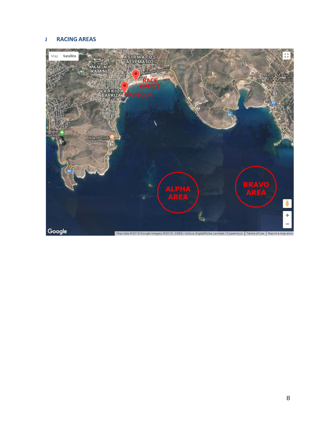#### **J RACING AREAS**